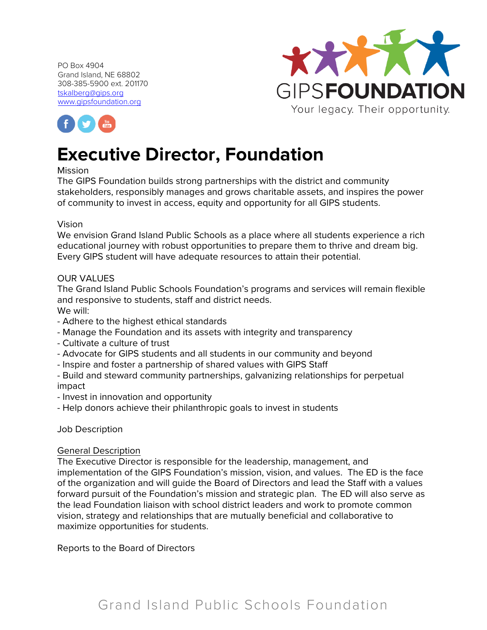



# **Executive Director, Foundation**

#### Mission

The GIPS Foundation builds strong partnerships with the district and community stakeholders, responsibly manages and grows charitable assets, and inspires the power of community to invest in access, equity and opportunity for all GIPS students.

#### Vision

We envision Grand Island Public Schools as a place where all students experience a rich educational journey with robust opportunities to prepare them to thrive and dream big. Every GIPS student will have adequate resources to attain their potential.

#### OUR VALUES

The Grand Island Public Schools Foundation's programs and services will remain flexible and responsive to students, staff and district needs. We will:

- Adhere to the highest ethical standards
- Manage the Foundation and its assets with integrity and transparency
- Cultivate a culture of trust
- Advocate for GIPS students and all students in our community and beyond
- Inspire and foster a partnership of shared values with GIPS Staff
- Build and steward community partnerships, galvanizing relationships for perpetual impact
- Invest in innovation and opportunity
- Help donors achieve their philanthropic goals to invest in students

#### Job Description

#### General Description

The Executive Director is responsible for the leadership, management, and implementation of the GIPS Foundation's mission, vision, and values. The ED is the face of the organization and will guide the Board of Directors and lead the Staff with a values forward pursuit of the Foundation's mission and strategic plan. The ED will also serve as the lead Foundation liaison with school district leaders and work to promote common vision, strategy and relationships that are mutually beneficial and collaborative to maximize opportunities for students.

Reports to the Board of Directors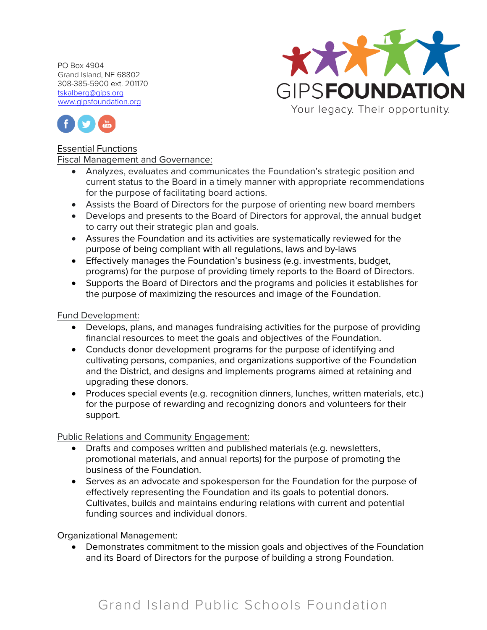



## Essential Functions

Fiscal Management and Governance:

- Analyzes, evaluates and communicates the Foundation's strategic position and current status to the Board in a timely manner with appropriate recommendations for the purpose of facilitating board actions.
- Assists the Board of Directors for the purpose of orienting new board members
- Develops and presents to the Board of Directors for approval, the annual budget to carry out their strategic plan and goals.
- Assures the Foundation and its activities are systematically reviewed for the purpose of being compliant with all regulations, laws and by-laws
- Effectively manages the Foundation's business (e.g. investments, budget, programs) for the purpose of providing timely reports to the Board of Directors.
- Supports the Board of Directors and the programs and policies it establishes for the purpose of maximizing the resources and image of the Foundation.

#### Fund Development:

- Develops, plans, and manages fundraising activities for the purpose of providing financial resources to meet the goals and objectives of the Foundation.
- Conducts donor development programs for the purpose of identifying and cultivating persons, companies, and organizations supportive of the Foundation and the District, and designs and implements programs aimed at retaining and upgrading these donors.
- Produces special events (e.g. recognition dinners, lunches, written materials, etc.) for the purpose of rewarding and recognizing donors and volunteers for their support.

# Public Relations and Community Engagement:

- Drafts and composes written and published materials (e.g. newsletters, promotional materials, and annual reports) for the purpose of promoting the business of the Foundation.
- Serves as an advocate and spokesperson for the Foundation for the purpose of effectively representing the Foundation and its goals to potential donors. Cultivates, builds and maintains enduring relations with current and potential funding sources and individual donors.

# Organizational Management:

• Demonstrates commitment to the mission goals and objectives of the Foundation and its Board of Directors for the purpose of building a strong Foundation.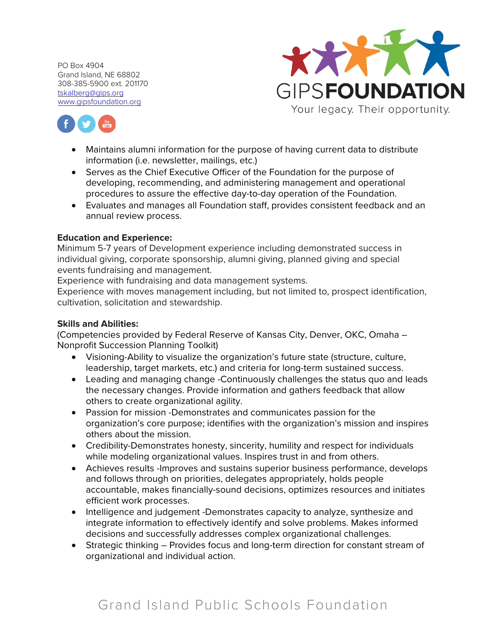



- Maintains alumni information for the purpose of having current data to distribute information (i.e. newsletter, mailings, etc.)
- Serves as the Chief Executive Officer of the Foundation for the purpose of developing, recommending, and administering management and operational procedures to assure the effective day-to-day operation of the Foundation.
- Evaluates and manages all Foundation staff, provides consistent feedback and an annual review process.

## **Education and Experience:**

Minimum 5-7 years of Development experience including demonstrated success in individual giving, corporate sponsorship, alumni giving, planned giving and special events fundraising and management.

Experience with fundraising and data management systems.

Experience with moves management including, but not limited to, prospect identification, cultivation, solicitation and stewardship.

# **Skills and Abilities:**

(Competencies provided by Federal Reserve of Kansas City, Denver, OKC, Omaha – Nonprofit Succession Planning Toolkit)

- Visioning-Ability to visualize the organization's future state (structure, culture, leadership, target markets, etc.) and criteria for long-term sustained success.
- Leading and managing change -Continuously challenges the status quo and leads the necessary changes. Provide information and gathers feedback that allow others to create organizational agility.
- Passion for mission -Demonstrates and communicates passion for the organization's core purpose; identifies with the organization's mission and inspires others about the mission.
- Credibility-Demonstrates honesty, sincerity, humility and respect for individuals while modeling organizational values. Inspires trust in and from others.
- Achieves results -Improves and sustains superior business performance, develops and follows through on priorities, delegates appropriately, holds people accountable, makes financially-sound decisions, optimizes resources and initiates efficient work processes.
- Intelligence and judgement -Demonstrates capacity to analyze, synthesize and integrate information to effectively identify and solve problems. Makes informed decisions and successfully addresses complex organizational challenges.
- Strategic thinking Provides focus and long-term direction for constant stream of organizational and individual action.